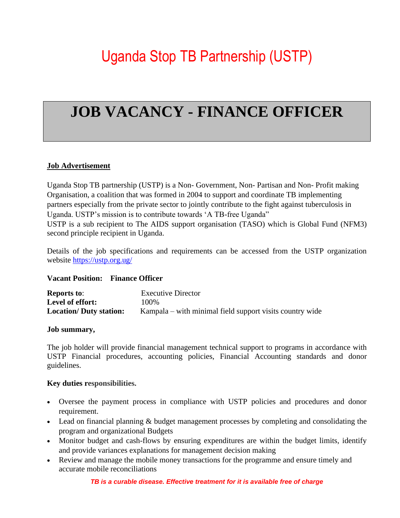# Uganda Stop TB Partnership (USTP)

# **JOB VACANCY - FINANCE OFFICER**

#### **Job Advertisement**

Uganda Stop TB partnership (USTP) is a Non- Government, Non- Partisan and Non- Profit making Organisation, a coalition that was formed in 2004 to support and coordinate TB implementing partners especially from the private sector to jointly contribute to the fight against tuberculosis in Uganda. USTP's mission is to contribute towards 'A TB-free Uganda" USTP is a sub recipient to The AIDS support organisation (TASO) which is Global Fund (NFM3) second principle recipient in Uganda.

Details of the job specifications and requirements can be accessed from the USTP organization website<https://ustp.org.ug/>

#### **Vacant Position: Finance Officer**

| <b>Reports to:</b>             | <b>Executive Director</b>                                |
|--------------------------------|----------------------------------------------------------|
| Level of effort:               | 100\%                                                    |
| <b>Location/ Duty station:</b> | Kampala – with minimal field support visits country wide |

#### **Job summary,**

The job holder will provide financial management technical support to programs in accordance with USTP Financial procedures, accounting policies, Financial Accounting standards and donor guidelines.

#### **Key duties responsibilities.**

- Oversee the payment process in compliance with USTP policies and procedures and donor requirement.
- Lead on financial planning & budget management processes by completing and consolidating the program and organizational Budgets
- Monitor budget and cash-flows by ensuring expenditures are within the budget limits, identify and provide variances explanations for management decision making
- Review and manage the mobile money transactions for the programme and ensure timely and accurate mobile reconciliations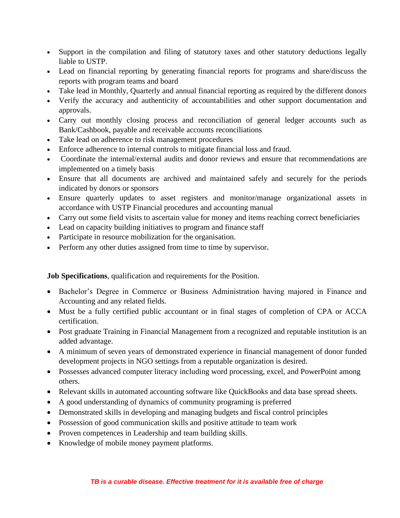- Support in the compilation and filing of statutory taxes and other statutory deductions legally liable to USTP.
- Lead on financial reporting by generating financial reports for programs and share/discuss the reports with program teams and board
- Take lead in Monthly, Quarterly and annual financial reporting as required by the different donors
- Verify the accuracy and authenticity of accountabilities and other support documentation and approvals.
- Carry out monthly closing process and reconciliation of general ledger accounts such as Bank/Cashbook, payable and receivable accounts reconciliations
- Take lead on adherence to risk management procedures
- Enforce adherence to internal controls to mitigate financial loss and fraud.
- Coordinate the internal/external audits and donor reviews and ensure that recommendations are implemented on a timely basis
- Ensure that all documents are archived and maintained safely and securely for the periods indicated by donors or sponsors
- Ensure quarterly updates to asset registers and monitor/manage organizational assets in accordance with USTP Financial procedures and accounting manual
- Carry out some field visits to ascertain value for money and items reaching correct beneficiaries
- Lead on capacity building initiatives to program and finance staff
- Participate in resource mobilization for the organisation.
- Perform any other duties assigned from time to time by supervisor**.**

**Job Specifications**, qualification and requirements for the Position.

- Bachelor's Degree in Commerce or Business Administration having majored in Finance and Accounting and any related fields.
- Must be a fully certified public accountant or in final stages of completion of CPA or ACCA certification.
- Post graduate Training in Financial Management from a recognized and reputable institution is an added advantage.
- A minimum of seven years of demonstrated experience in financial management of donor funded development projects in NGO settings from a reputable organization is desired.
- Possesses advanced computer literacy including word processing, excel, and PowerPoint among others.
- Relevant skills in automated accounting software like QuickBooks and data base spread sheets.
- A good understanding of dynamics of community programing is preferred
- Demonstrated skills in developing and managing budgets and fiscal control principles
- Possession of good communication skills and positive attitude to team work
- Proven competences in Leadership and team building skills.
- Knowledge of mobile money payment platforms.